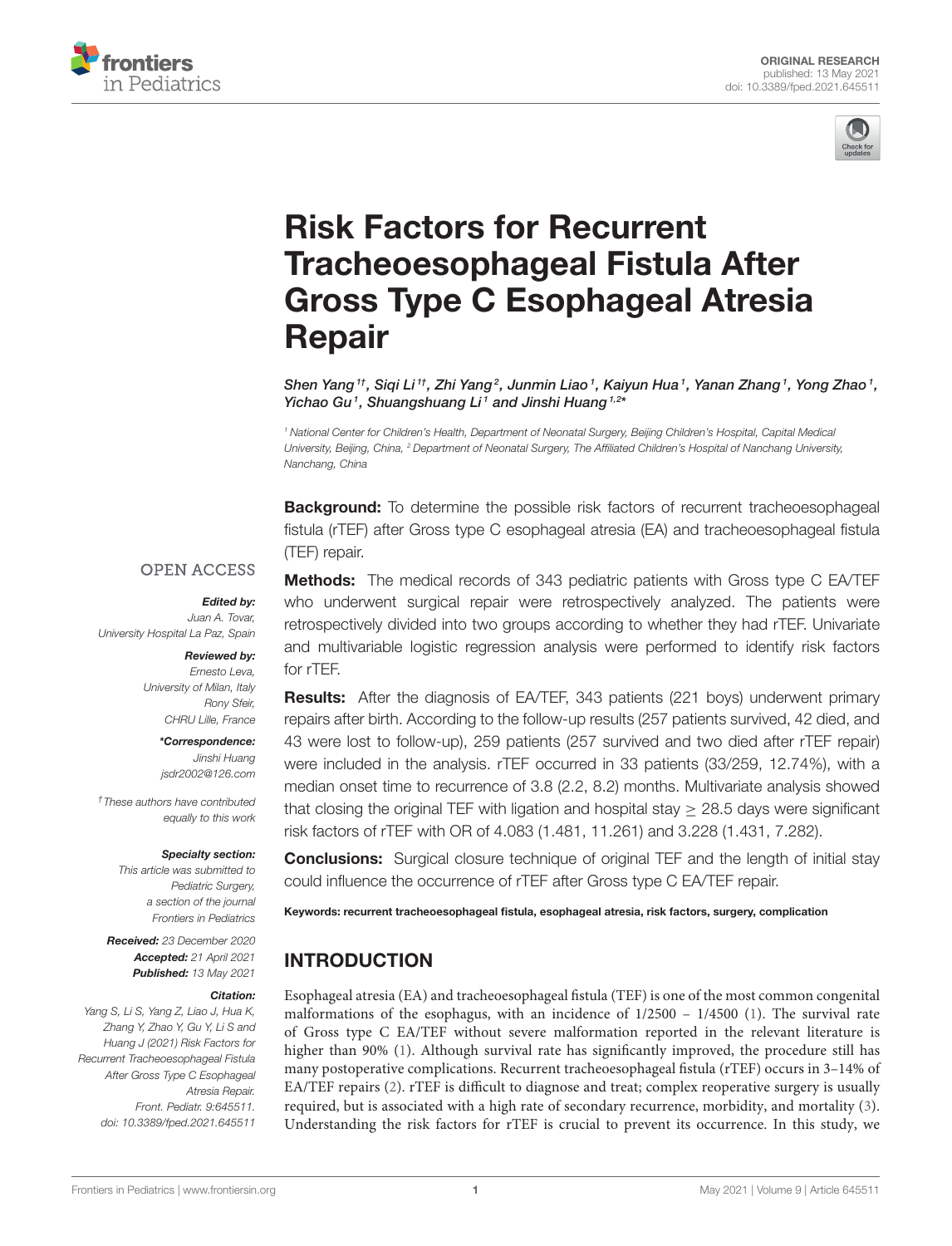



# Risk Factors for Recurrent Tracheoesophageal Fistula After [Gross Type C Esophageal Atresia](https://www.frontiersin.org/articles/10.3389/fped.2021.645511/full) Repair

Shen Yang $^{\text{\tiny{\textit{1}}}}$ t, Siqi Li $^{\text{\tiny{\textit{1}}}}$ , Zhi Yang $^{\text{\tiny{\textit{2}}}}$ , Junmin Liao $^{\text{\tiny{\textit{1}}}}$ , Kaiyun Hua $^{\text{\tiny{\textit{1}}}}$ , Yanan Zhang $^{\text{\tiny{\textit{1}}}}$ , Yong Zhao $^{\text{\tiny{\textit{1}}}}$ , Yichao Gu<sup>1</sup>, Shuangshuang Li<sup>1</sup> and Jinshi Huang<sup>1,2\*</sup>

*<sup>1</sup> National Center for Children's Health, Department of Neonatal Surgery, Beijing Children's Hospital, Capital Medical University, Beijing, China, <sup>2</sup> Department of Neonatal Surgery, The Affiliated Children's Hospital of Nanchang University, Nanchang, China*

**Background:** To determine the possible risk factors of recurrent tracheoesophageal fistula (rTEF) after Gross type C esophageal atresia (EA) and tracheoesophageal fistula (TEF) repair.

#### **OPEN ACCESS**

#### Edited by:

*Juan A. Tovar, University Hospital La Paz, Spain*

#### Reviewed by:

*Ernesto Leva, University of Milan, Italy Rony Sfeir, CHRU Lille, France*

> \*Correspondence: *Jinshi Huang [jsdr2002@126.com](mailto:jsdr2002@126.com)*

*†These authors have contributed equally to this work*

#### Specialty section:

*This article was submitted to Pediatric Surgery, a section of the journal Frontiers in Pediatrics*

Received: *23 December 2020* Accepted: *21 April 2021* Published: *13 May 2021*

#### Citation:

*Yang S, Li S, Yang Z, Liao J, Hua K, Zhang Y, Zhao Y, Gu Y, Li S and Huang J (2021) Risk Factors for Recurrent Tracheoesophageal Fistula After Gross Type C Esophageal Atresia Repair. Front. Pediatr. 9:645511. doi: [10.3389/fped.2021.645511](https://doi.org/10.3389/fped.2021.645511)*

**Methods:** The medical records of 343 pediatric patients with Gross type C EA/TEF who underwent surgical repair were retrospectively analyzed. The patients were retrospectively divided into two groups according to whether they had rTEF. Univariate and multivariable logistic regression analysis were performed to identify risk factors for rTEF.

**Results:** After the diagnosis of EA/TEF, 343 patients (221 boys) underwent primary repairs after birth. According to the follow-up results (257 patients survived, 42 died, and 43 were lost to follow-up), 259 patients (257 survived and two died after rTEF repair) were included in the analysis. rTEF occurred in 33 patients (33/259, 12.74%), with a median onset time to recurrence of 3.8 (2.2, 8.2) months. Multivariate analysis showed that closing the original TEF with ligation and hospital stay  $\geq$  28.5 days were significant risk factors of rTEF with OR of 4.083 (1.481, 11.261) and 3.228 (1.431, 7.282).

**Conclusions:** Surgical closure technique of original TEF and the length of initial stay could influence the occurrence of rTEF after Gross type C EA/TEF repair.

Keywords: recurrent tracheoesophageal fistula, esophageal atresia, risk factors, surgery, complication

# INTRODUCTION

Esophageal atresia (EA) and tracheoesophageal fistula (TEF) is one of the most common congenital malformations of the esophagus, with an incidence of 1/2500 – 1/4500 [\(1\)](#page-4-0). The survival rate of Gross type C EA/TEF without severe malformation reported in the relevant literature is higher than 90% [\(1\)](#page-4-0). Although survival rate has significantly improved, the procedure still has many postoperative complications. Recurrent tracheoesophageal fistula (rTEF) occurs in 3–14% of EA/TEF repairs [\(2\)](#page-4-1). rTEF is difficult to diagnose and treat; complex reoperative surgery is usually required, but is associated with a high rate of secondary recurrence, morbidity, and mortality [\(3\)](#page-4-2). Understanding the risk factors for rTEF is crucial to prevent its occurrence. In this study, we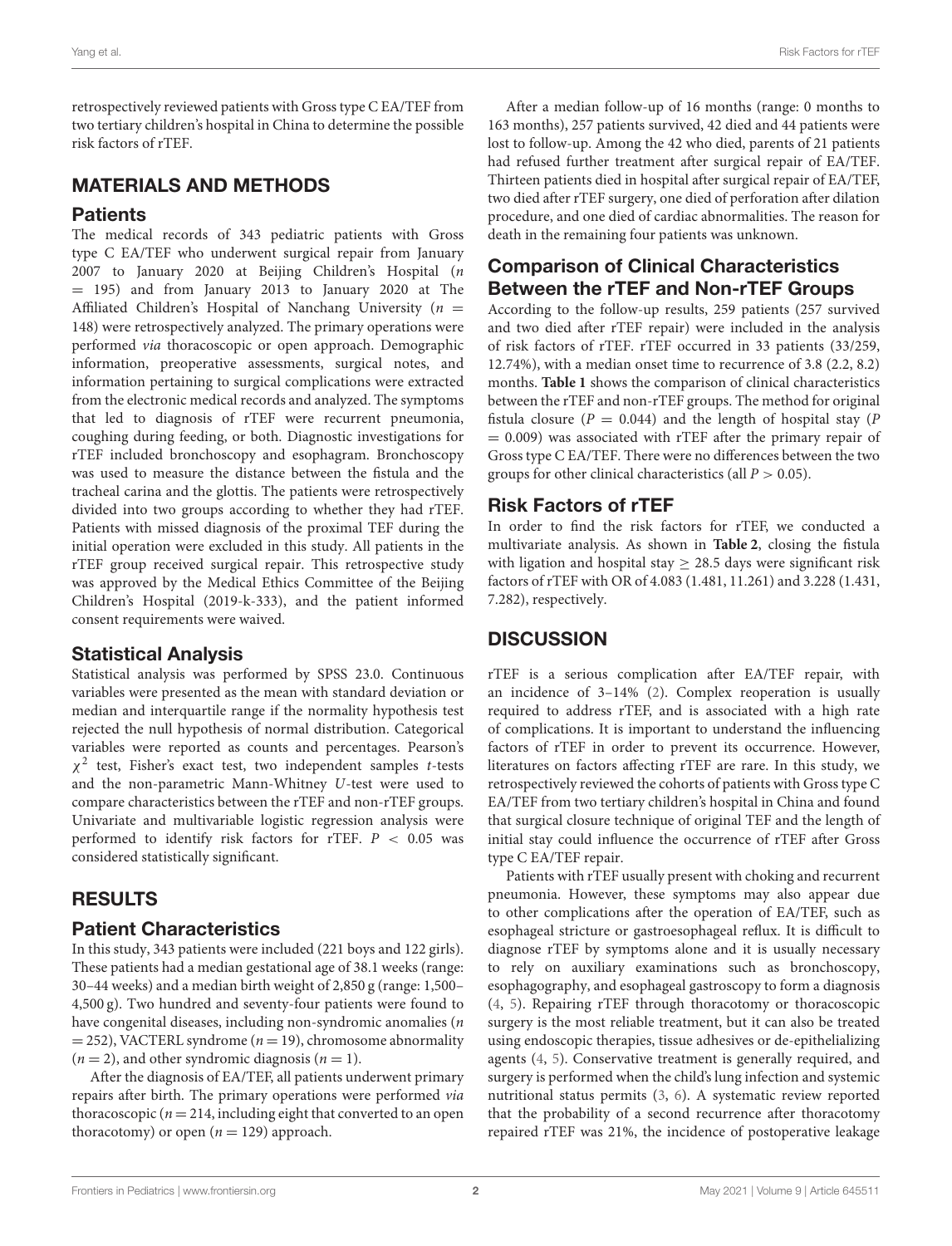retrospectively reviewed patients with Gross type C EA/TEF from two tertiary children's hospital in China to determine the possible risk factors of rTEF.

## MATERIALS AND METHODS

#### **Patients**

The medical records of 343 pediatric patients with Gross type C EA/TEF who underwent surgical repair from January 2007 to January 2020 at Beijing Children's Hospital (n = 195) and from January 2013 to January 2020 at The Affiliated Children's Hospital of Nanchang University ( $n =$ 148) were retrospectively analyzed. The primary operations were performed via thoracoscopic or open approach. Demographic information, preoperative assessments, surgical notes, and information pertaining to surgical complications were extracted from the electronic medical records and analyzed. The symptoms that led to diagnosis of rTEF were recurrent pneumonia, coughing during feeding, or both. Diagnostic investigations for rTEF included bronchoscopy and esophagram. Bronchoscopy was used to measure the distance between the fistula and the tracheal carina and the glottis. The patients were retrospectively divided into two groups according to whether they had rTEF. Patients with missed diagnosis of the proximal TEF during the initial operation were excluded in this study. All patients in the rTEF group received surgical repair. This retrospective study was approved by the Medical Ethics Committee of the Beijing Children's Hospital (2019-k-333), and the patient informed consent requirements were waived.

## Statistical Analysis

Statistical analysis was performed by SPSS 23.0. Continuous variables were presented as the mean with standard deviation or median and interquartile range if the normality hypothesis test rejected the null hypothesis of normal distribution. Categorical variables were reported as counts and percentages. Pearson's  $\chi^2$  test, Fisher's exact test, two independent samples t-tests and the non-parametric Mann-Whitney U-test were used to compare characteristics between the rTEF and non-rTEF groups. Univariate and multivariable logistic regression analysis were performed to identify risk factors for rTEF.  $P < 0.05$  was considered statistically significant.

# RESULTS

## Patient Characteristics

In this study, 343 patients were included (221 boys and 122 girls). These patients had a median gestational age of 38.1 weeks (range: 30–44 weeks) and a median birth weight of 2,850 g (range: 1,500– 4,500 g). Two hundred and seventy-four patients were found to have congenital diseases, including non-syndromic anomalies (n  $=$  252), VACTERL syndrome ( $n = 19$ ), chromosome abnormality  $(n = 2)$ , and other syndromic diagnosis  $(n = 1)$ .

After the diagnosis of EA/TEF, all patients underwent primary repairs after birth. The primary operations were performed via thoracoscopic ( $n = 214$ , including eight that converted to an open thoracotomy) or open  $(n = 129)$  approach.

After a median follow-up of 16 months (range: 0 months to 163 months), 257 patients survived, 42 died and 44 patients were lost to follow-up. Among the 42 who died, parents of 21 patients had refused further treatment after surgical repair of EA/TEF. Thirteen patients died in hospital after surgical repair of EA/TEF, two died after rTEF surgery, one died of perforation after dilation procedure, and one died of cardiac abnormalities. The reason for death in the remaining four patients was unknown.

# Comparison of Clinical Characteristics Between the rTEF and Non-rTEF Groups

According to the follow-up results, 259 patients (257 survived and two died after rTEF repair) were included in the analysis of risk factors of rTEF. rTEF occurred in 33 patients (33/259, 12.74%), with a median onset time to recurrence of 3.8 (2.2, 8.2) months. **[Table 1](#page-2-0)** shows the comparison of clinical characteristics between the rTEF and non-rTEF groups. The method for original fistula closure ( $P = 0.044$ ) and the length of hospital stay ( $P$  $= 0.009$ ) was associated with rTEF after the primary repair of Gross type C EA/TEF. There were no differences between the two groups for other clinical characteristics (all  $P > 0.05$ ).

## Risk Factors of rTEF

In order to find the risk factors for rTEF, we conducted a multivariate analysis. As shown in **[Table 2](#page-2-1)**, closing the fistula with ligation and hospital stay  $\geq$  28.5 days were significant risk factors of rTEF with OR of 4.083 (1.481, 11.261) and 3.228 (1.431, 7.282), respectively.

## **DISCUSSION**

rTEF is a serious complication after EA/TEF repair, with an incidence of 3–14% [\(2\)](#page-4-1). Complex reoperation is usually required to address rTEF, and is associated with a high rate of complications. It is important to understand the influencing factors of rTEF in order to prevent its occurrence. However, literatures on factors affecting rTEF are rare. In this study, we retrospectively reviewed the cohorts of patients with Gross type C EA/TEF from two tertiary children's hospital in China and found that surgical closure technique of original TEF and the length of initial stay could influence the occurrence of rTEF after Gross type C EA/TEF repair.

Patients with rTEF usually present with choking and recurrent pneumonia. However, these symptoms may also appear due to other complications after the operation of EA/TEF, such as esophageal stricture or gastroesophageal reflux. It is difficult to diagnose rTEF by symptoms alone and it is usually necessary to rely on auxiliary examinations such as bronchoscopy, esophagography, and esophageal gastroscopy to form a diagnosis [\(4,](#page-4-3) [5\)](#page-4-4). Repairing rTEF through thoracotomy or thoracoscopic surgery is the most reliable treatment, but it can also be treated using endoscopic therapies, tissue adhesives or de-epithelializing agents [\(4,](#page-4-3) [5\)](#page-4-4). Conservative treatment is generally required, and surgery is performed when the child's lung infection and systemic nutritional status permits [\(3,](#page-4-2) [6\)](#page-4-5). A systematic review reported that the probability of a second recurrence after thoracotomy repaired rTEF was 21%, the incidence of postoperative leakage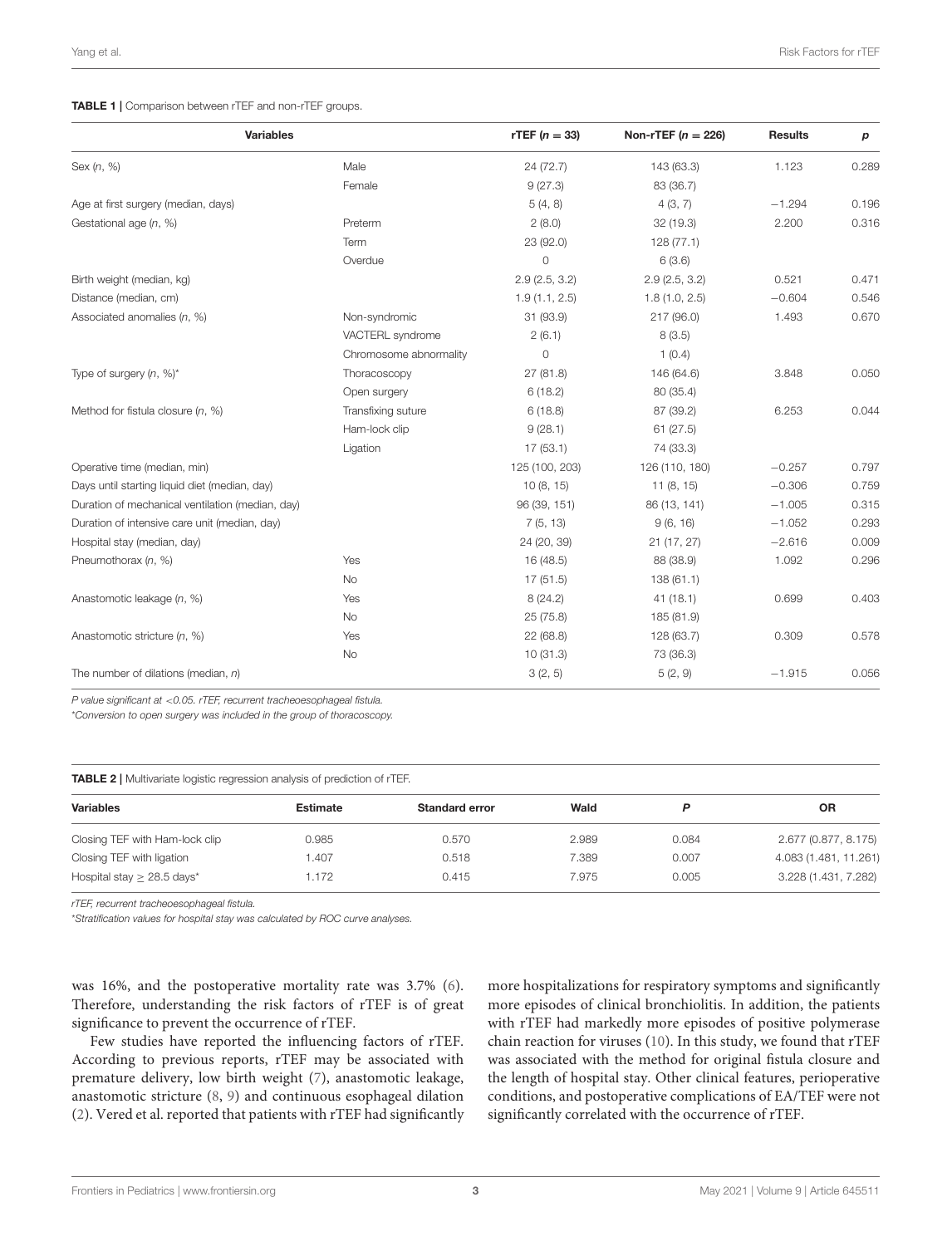#### <span id="page-2-0"></span>TABLE 1 | Comparison between rTEF and non-rTEF groups.

| <b>Variables</b>                                 |                        | rTEF $(n = 33)$ | Non-rTEF $(n = 226)$ | <b>Results</b> | р     |
|--------------------------------------------------|------------------------|-----------------|----------------------|----------------|-------|
| Sex $(n, %)$                                     | Male                   | 24 (72.7)       | 143 (63.3)           | 1.123          | 0.289 |
|                                                  | Female                 | 9(27.3)         | 83 (36.7)            |                |       |
| Age at first surgery (median, days)              |                        | 5(4, 8)         | 4(3, 7)              | $-1.294$       | 0.196 |
| Gestational age (n, %)                           | Preterm                | 2(8.0)          | 32(19.3)             | 2.200          | 0.316 |
|                                                  | Term                   | 23 (92.0)       | 128(77.1)            |                |       |
|                                                  | Overdue                | $\circ$         | 6(3.6)               |                |       |
| Birth weight (median, kg)                        |                        | 2.9(2.5, 3.2)   | 2.9(2.5, 3.2)        | 0.521          | 0.471 |
| Distance (median, cm)                            |                        | 1.9(1.1, 2.5)   | 1.8(1.0, 2.5)        | $-0.604$       | 0.546 |
| Associated anomalies (n, %)                      | Non-syndromic          | 31 (93.9)       | 217 (96.0)           | 1.493          | 0.670 |
|                                                  | VACTERL syndrome       | 2(6.1)          | 8(3.5)               |                |       |
|                                                  | Chromosome abnormality | $\circ$         | 1(0.4)               |                |       |
| Type of surgery $(n, %)$ <sup>*</sup>            | Thoracoscopy           | 27 (81.8)       | 146 (64.6)           | 3.848          | 0.050 |
|                                                  | Open surgery           | 6(18.2)         | 80 (35.4)            |                |       |
| Method for fistula closure $(n, %)$              | Transfixing suture     | 6(18.8)         | 87 (39.2)            | 6.253          | 0.044 |
|                                                  | Ham-lock clip          | 9(28.1)         | 61(27.5)             |                |       |
|                                                  | Ligation               | 17(53.1)        | 74 (33.3)            |                |       |
| Operative time (median, min)                     |                        | 125 (100, 203)  | 126 (110, 180)       | $-0.257$       | 0.797 |
| Days until starting liquid diet (median, day)    |                        | 10(8, 15)       | 11(8, 15)            | $-0.306$       | 0.759 |
| Duration of mechanical ventilation (median, day) |                        | 96 (39, 151)    | 86 (13, 141)         | $-1.005$       | 0.315 |
| Duration of intensive care unit (median, day)    |                        | 7(5, 13)        | 9(6, 16)             | $-1.052$       | 0.293 |
| Hospital stay (median, day)                      |                        | 24 (20, 39)     | 21(17, 27)           | $-2.616$       | 0.009 |
| Pneumothorax (n, %)                              | Yes                    | 16 (48.5)       | 88 (38.9)            | 1.092          | 0.296 |
|                                                  | <b>No</b>              | 17(51.5)        | 138(61.1)            |                |       |
| Anastomotic leakage (n, %)                       | Yes                    | 8(24.2)         | 41(18.1)             | 0.699          | 0.403 |
|                                                  | <b>No</b>              | 25(75.8)        | 185 (81.9)           |                |       |
| Anastomotic stricture (n, %)                     | Yes                    | 22(68.8)        | 128 (63.7)           | 0.309          | 0.578 |
|                                                  | <b>No</b>              | 10(31.3)        | 73 (36.3)            |                |       |
| The number of dilations (median, $n$ )           |                        | 3(2, 5)         | 5(2, 9)              | $-1.915$       | 0.056 |

*P value significant at* <*0.05. rTEF, recurrent tracheoesophageal fistula.*

\**Conversion to open surgery was included in the group of thoracoscopy.*

<span id="page-2-1"></span>TABLE 2 | Multivariate logistic regression analysis of prediction of rTEF.

| <b>Estimate</b> | Standard error | Wald  |       | <b>OR</b>             |
|-----------------|----------------|-------|-------|-----------------------|
| 0.985           | 0.570          | 2.989 | 0.084 | 2.677 (0.877, 8.175)  |
| <b>.407</b>     | 0.518          | 7.389 | 0.007 | 4.083 (1.481, 11.261) |
| 1.172           | 0.415          | 7.975 | 0.005 | 3.228 (1.431, 7.282)  |
|                 |                |       |       |                       |

*rTEF, recurrent tracheoesophageal fistula.*

\**Stratification values for hospital stay was calculated by ROC curve analyses.*

was 16%, and the postoperative mortality rate was 3.7% [\(6\)](#page-4-5). Therefore, understanding the risk factors of rTEF is of great significance to prevent the occurrence of rTEF.

Few studies have reported the influencing factors of rTEF. According to previous reports, rTEF may be associated with premature delivery, low birth weight [\(7\)](#page-4-6), anastomotic leakage, anastomotic stricture [\(8,](#page-4-7) [9\)](#page-4-8) and continuous esophageal dilation [\(2\)](#page-4-1). Vered et al. reported that patients with rTEF had significantly more hospitalizations for respiratory symptoms and significantly more episodes of clinical bronchiolitis. In addition, the patients with rTEF had markedly more episodes of positive polymerase chain reaction for viruses [\(10\)](#page-4-9). In this study, we found that rTEF was associated with the method for original fistula closure and the length of hospital stay. Other clinical features, perioperative conditions, and postoperative complications of EA/TEF were not significantly correlated with the occurrence of rTEF.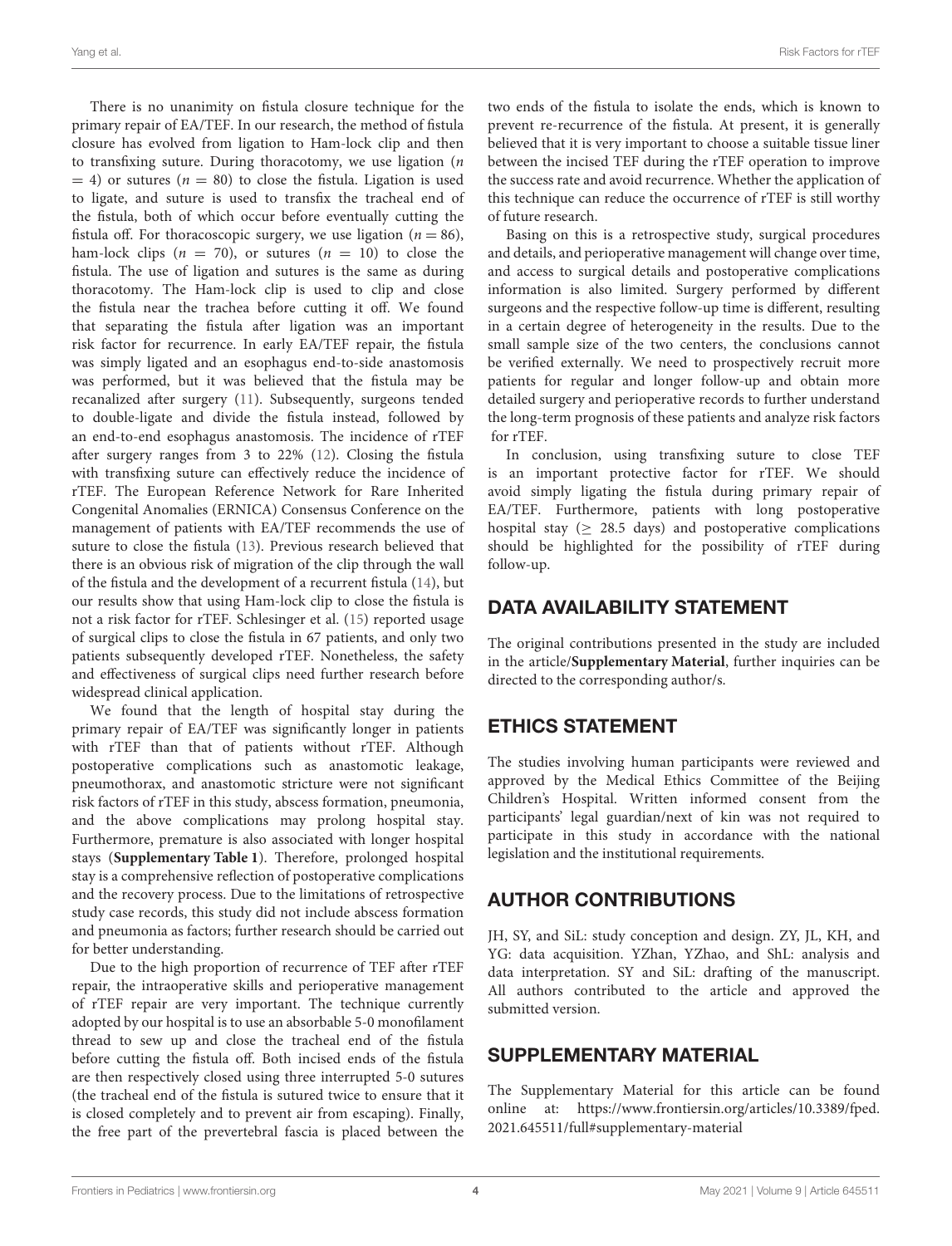Yang et al. Risk Factors for rTEF

There is no unanimity on fistula closure technique for the primary repair of EA/TEF. In our research, the method of fistula closure has evolved from ligation to Ham-lock clip and then to transfixing suture. During thoracotomy, we use ligation  $(n)$  $= 4$ ) or sutures ( $n = 80$ ) to close the fistula. Ligation is used to ligate, and suture is used to transfix the tracheal end of the fistula, both of which occur before eventually cutting the fistula off. For thoracoscopic surgery, we use ligation ( $n = 86$ ), ham-lock clips  $(n = 70)$ , or sutures  $(n = 10)$  to close the fistula. The use of ligation and sutures is the same as during thoracotomy. The Ham-lock clip is used to clip and close the fistula near the trachea before cutting it off. We found that separating the fistula after ligation was an important risk factor for recurrence. In early EA/TEF repair, the fistula was simply ligated and an esophagus end-to-side anastomosis was performed, but it was believed that the fistula may be recanalized after surgery [\(11\)](#page-4-10). Subsequently, surgeons tended to double-ligate and divide the fistula instead, followed by an end-to-end esophagus anastomosis. The incidence of rTEF after surgery ranges from 3 to 22% [\(12\)](#page-4-11). Closing the fistula with transfixing suture can effectively reduce the incidence of rTEF. The European Reference Network for Rare Inherited Congenital Anomalies (ERNICA) Consensus Conference on the management of patients with EA/TEF recommends the use of suture to close the fistula [\(13\)](#page-4-12). Previous research believed that there is an obvious risk of migration of the clip through the wall of the fistula and the development of a recurrent fistula [\(14\)](#page-4-13), but our results show that using Ham-lock clip to close the fistula is not a risk factor for rTEF. Schlesinger et al. [\(15\)](#page-4-14) reported usage of surgical clips to close the fistula in 67 patients, and only two patients subsequently developed rTEF. Nonetheless, the safety and effectiveness of surgical clips need further research before widespread clinical application.

We found that the length of hospital stay during the primary repair of EA/TEF was significantly longer in patients with rTEF than that of patients without rTEF. Although postoperative complications such as anastomotic leakage, pneumothorax, and anastomotic stricture were not significant risk factors of rTEF in this study, abscess formation, pneumonia, and the above complications may prolong hospital stay. Furthermore, premature is also associated with longer hospital stays (**[Supplementary Table 1](#page-3-0)**). Therefore, prolonged hospital stay is a comprehensive reflection of postoperative complications and the recovery process. Due to the limitations of retrospective study case records, this study did not include abscess formation and pneumonia as factors; further research should be carried out for better understanding.

Due to the high proportion of recurrence of TEF after rTEF repair, the intraoperative skills and perioperative management of rTEF repair are very important. The technique currently adopted by our hospital is to use an absorbable 5-0 monofilament thread to sew up and close the tracheal end of the fistula before cutting the fistula off. Both incised ends of the fistula are then respectively closed using three interrupted 5-0 sutures (the tracheal end of the fistula is sutured twice to ensure that it is closed completely and to prevent air from escaping). Finally, the free part of the prevertebral fascia is placed between the two ends of the fistula to isolate the ends, which is known to prevent re-recurrence of the fistula. At present, it is generally believed that it is very important to choose a suitable tissue liner between the incised TEF during the rTEF operation to improve the success rate and avoid recurrence. Whether the application of this technique can reduce the occurrence of rTEF is still worthy of future research.

Basing on this is a retrospective study, surgical procedures and details, and perioperative management will change over time, and access to surgical details and postoperative complications information is also limited. Surgery performed by different surgeons and the respective follow-up time is different, resulting in a certain degree of heterogeneity in the results. Due to the small sample size of the two centers, the conclusions cannot be verified externally. We need to prospectively recruit more patients for regular and longer follow-up and obtain more detailed surgery and perioperative records to further understand the long-term prognosis of these patients and analyze risk factors for rTEF.

In conclusion, using transfixing suture to close TEF is an important protective factor for rTEF. We should avoid simply ligating the fistula during primary repair of EA/TEF. Furthermore, patients with long postoperative hospital stay ( $\geq$  28.5 days) and postoperative complications should be highlighted for the possibility of rTEF during follow-up.

## DATA AVAILABILITY STATEMENT

The original contributions presented in the study are included in the article/**[Supplementary Material](#page-3-0)**, further inquiries can be directed to the corresponding author/s.

# ETHICS STATEMENT

The studies involving human participants were reviewed and approved by the Medical Ethics Committee of the Beijing Children's Hospital. Written informed consent from the participants' legal guardian/next of kin was not required to participate in this study in accordance with the national legislation and the institutional requirements.

## AUTHOR CONTRIBUTIONS

JH, SY, and SiL: study conception and design. ZY, JL, KH, and YG: data acquisition. YZhan, YZhao, and ShL: analysis and data interpretation. SY and SiL: drafting of the manuscript. All authors contributed to the article and approved the submitted version.

## SUPPLEMENTARY MATERIAL

<span id="page-3-0"></span>The Supplementary Material for this article can be found [online at: https://www.frontiersin.org/articles/10.3389/fped.](https://www.frontiersin.org/articles/10.3389/fped.2021.645511/full#supplementary-material) 2021.645511/full#supplementary-material